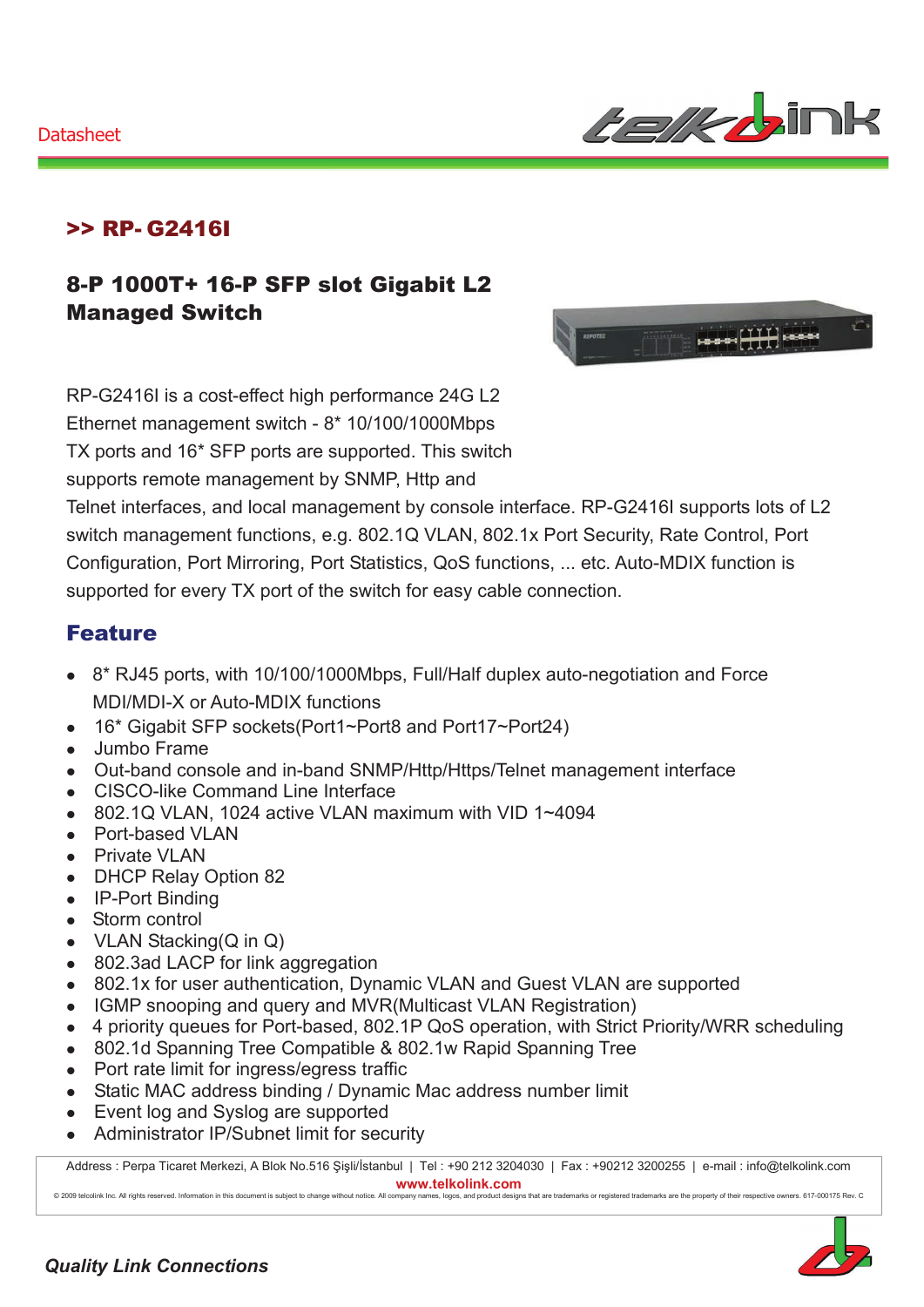

### >> RP- G2416I

## 8-P 1000T+ 16-P SFP slot Gigabit L2 Managed Switch



RP-G2416I is a cost-effect high performance 24G L2 Ethernet management switch - 8\* 10/100/1000Mbps TX ports and 16\* SFP ports are supported. This switch supports remote management by SNMP, Http and

Telnet interfaces, and local management by console interface. RP-G2416I supports lots of L2 switch management functions, e.g. 802.1Q VLAN, 802.1x Port Security, Rate Control, Port Configuration, Port Mirroring, Port Statistics, QoS functions, ... etc. Auto-MDIX function is supported for every TX port of the switch for easy cable connection.

#### Feature

- 8<sup>\*</sup> RJ45 ports, with 10/100/1000Mbps, Full/Half duplex auto-negotiation and Force MDI/MDI-X or Auto-MDIX functions
- 16\* Gigabit SFP sockets(Port1~Port8 and Port17~Port24)
- Jumbo Frame
- Out-band console and in-band SNMP/Http/Https/Telnet management interface
- CISCO-like Command Line Interface
- $\bullet$  802.1Q VLAN, 1024 active VLAN maximum with VID 1~4094
- Port-based VLAN
- Private VLAN
- DHCP Relay Option 82
- IP-Port Binding
- Storm control
- VLAN Stacking( $Q$  in  $Q$ )
- 802.3ad LACP for link aggregation
- 802.1x for user authentication, Dynamic VLAN and Guest VLAN are supported
- IGMP snooping and query and MVR(Multicast VLAN Registration)
- 4 priority queues for Port-based, 802.1P QoS operation, with Strict Priority/WRR scheduling
- 802.1d Spanning Tree Compatible & 802.1w Rapid Spanning Tree
- Port rate limit for ingress/egress traffic
- Static MAC address binding / Dynamic Mac address number limit
- Event log and Syslog are supported
- Administrator IP/Subnet limit for security

Address : Perpa Ticaret Merkezi, A Blok No.516 Şişli/İstanbul | Tel : +90 212 3204030 | Fax : +90212 3200255 | e-mail : info@telkolink.com  $www.telkolink.com$ 

@ 2009 telcolink Inc. All rights reserved. Information in this document is subject to change without notice. All company names, logos, and product designs that are trademarks or registered trademarks are the property of th

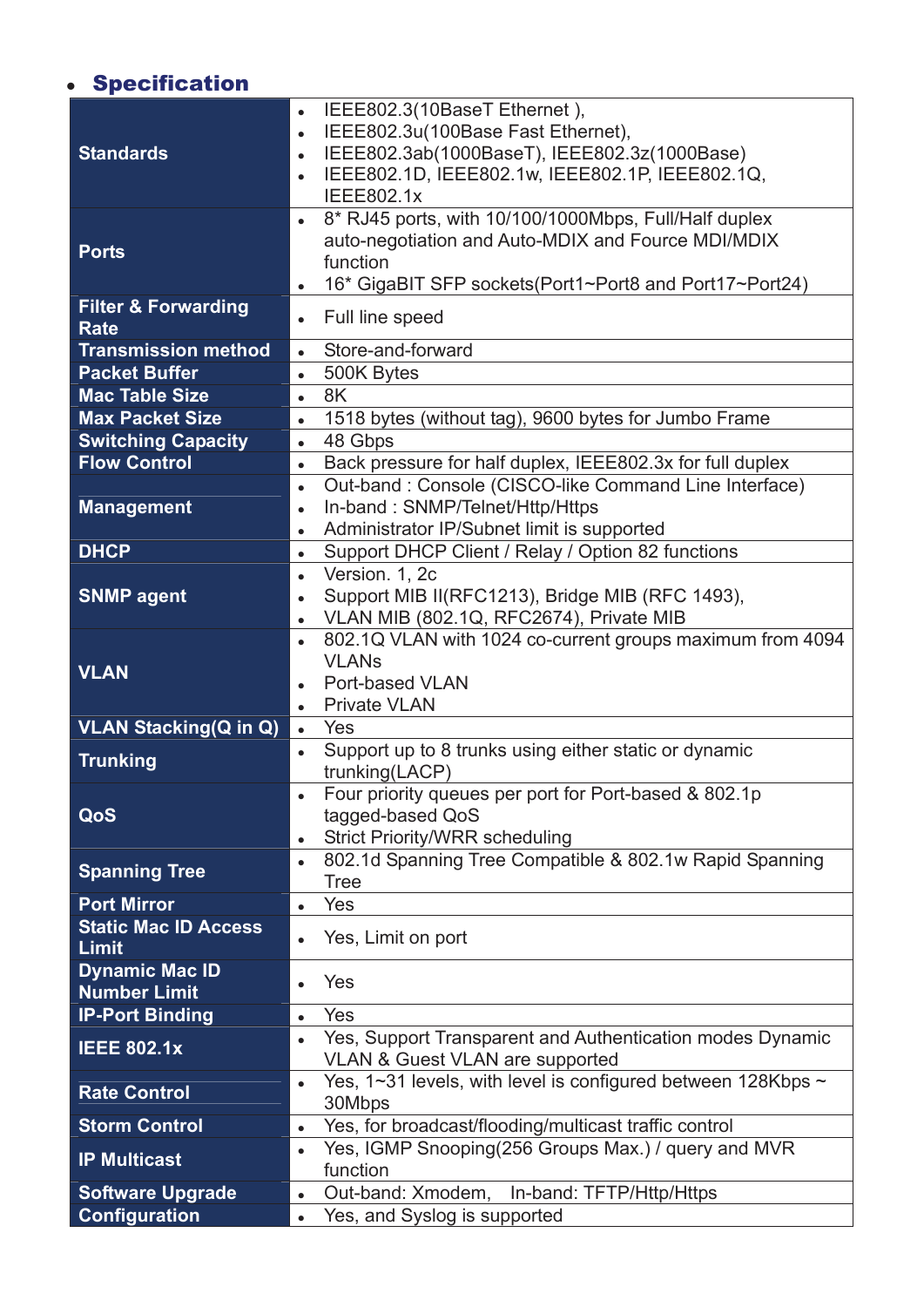# **· Specification**

|                                      | IEEE802.3(10BaseT Ethernet),<br>IEEE802.3u(100Base Fast Ethernet),<br>$\bullet$  |
|--------------------------------------|----------------------------------------------------------------------------------|
| <b>Standards</b>                     | IEEE802.3ab(1000BaseT), IEEE802.3z(1000Base)                                     |
|                                      | IEEE802.1D, IEEE802.1w, IEEE802.1P, IEEE802.1Q,                                  |
|                                      | <b>IEEE802.1x</b>                                                                |
|                                      | 8* RJ45 ports, with 10/100/1000Mbps, Full/Half duplex<br>$\bullet$               |
| <b>Ports</b>                         | auto-negotiation and Auto-MDIX and Fource MDI/MDIX                               |
|                                      | function<br>16* GigaBIT SFP sockets (Port1~Port8 and Port17~Port24)<br>$\bullet$ |
| <b>Filter &amp; Forwarding</b>       |                                                                                  |
| <b>Rate</b>                          | Full line speed                                                                  |
| <b>Transmission method</b>           | Store-and-forward<br>$\bullet$                                                   |
| <b>Packet Buffer</b>                 | 500K Bytes<br>$\bullet$                                                          |
| <b>Mac Table Size</b>                | 8K<br>$\bullet$                                                                  |
| <b>Max Packet Size</b>               | 1518 bytes (without tag), 9600 bytes for Jumbo Frame<br>$\bullet$                |
| <b>Switching Capacity</b>            | 48 Gbps<br>$\bullet$                                                             |
| <b>Flow Control</b>                  | Back pressure for half duplex, IEEE802.3x for full duplex<br>$\bullet$           |
|                                      | Out-band: Console (CISCO-like Command Line Interface)<br>$\bullet$               |
| <b>Management</b>                    | In-band: SNMP/Telnet/Http/Https                                                  |
|                                      | Administrator IP/Subnet limit is supported                                       |
| <b>DHCP</b>                          | Support DHCP Client / Relay / Option 82 functions<br>$\bullet$                   |
|                                      | Version. 1, 2c<br>$\bullet$                                                      |
| <b>SNMP agent</b>                    | Support MIB II(RFC1213), Bridge MIB (RFC 1493),<br>$\bullet$                     |
|                                      | VLAN MIB (802.1Q, RFC2674), Private MIB                                          |
|                                      | 802.1Q VLAN with 1024 co-current groups maximum from 4094<br><b>VLANs</b>        |
| <b>VLAN</b>                          | Port-based VLAN                                                                  |
|                                      | <b>Private VLAN</b><br>$\bullet$                                                 |
| <b>VLAN Stacking(Q in Q)</b>         | Yes<br>$\bullet$                                                                 |
|                                      | Support up to 8 trunks using either static or dynamic                            |
| <b>Trunking</b>                      | trunking(LACP)                                                                   |
|                                      | Four priority queues per port for Port-based & 802.1p                            |
| QoS                                  | tagged-based QoS                                                                 |
|                                      | <b>Strict Priority/WRR scheduling</b><br>$\bullet$                               |
| <b>Spanning Tree</b>                 | 802.1d Spanning Tree Compatible & 802.1w Rapid Spanning                          |
|                                      | <b>Tree</b>                                                                      |
| <b>Port Mirror</b>                   | Yes<br>$\bullet$                                                                 |
| <b>Static Mac ID Access</b><br>Limit | Yes, Limit on port                                                               |
| <b>Dynamic Mac ID</b>                |                                                                                  |
|                                      | Yes                                                                              |
| <b>Number Limit</b>                  |                                                                                  |
| <b>IP-Port Binding</b>               | Yes<br>$\bullet$                                                                 |
| <b>IEEE 802.1x</b>                   | Yes, Support Transparent and Authentication modes Dynamic                        |
|                                      | <b>VLAN &amp; Guest VLAN are supported</b>                                       |
| <b>Rate Control</b>                  | Yes, 1~31 levels, with level is configured between 128Kbps ~<br>30Mbps           |
| <b>Storm Control</b>                 | Yes, for broadcast/flooding/multicast traffic control<br>$\bullet$               |
|                                      | Yes, IGMP Snooping (256 Groups Max.) / query and MVR                             |
| <b>IP Multicast</b>                  | function                                                                         |
| <b>Software Upgrade</b>              | Out-band: Xmodem, In-band: TFTP/Http/Https<br>$\bullet$                          |